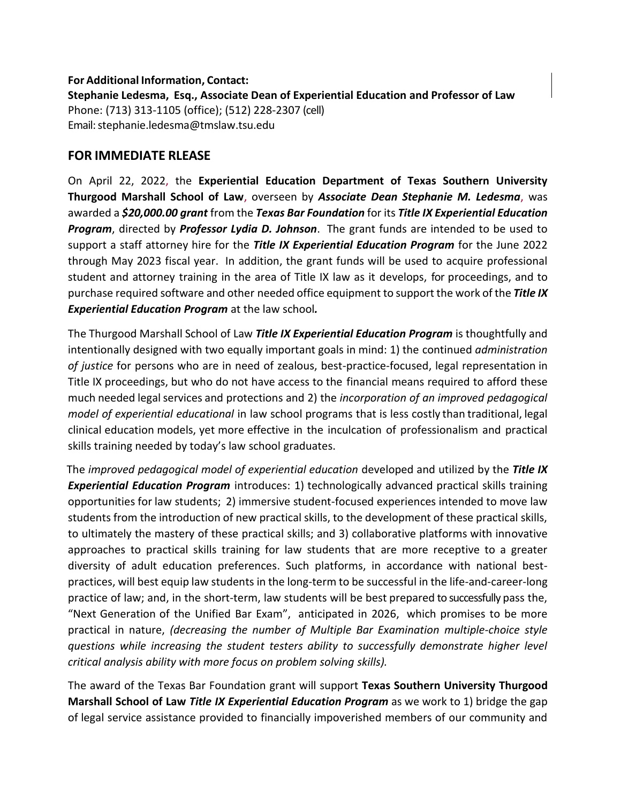## **For Additional Information, Contact:**

**Stephanie Ledesma, Esq., Associate Dean of Experiential Education and Professor of Law**  Phone: (713) 313-1105 (office); (512) 228-2307 (cell) Email[: stephanie.ledesma@tmslaw.tsu.edu](mailto:stephanie.ledesma@tmslaw.tsu.edu)

## **FOR IMMEDIATE RLEASE**

On April 22, 2022, the **Experiential Education Department of Texas Southern University Thurgood Marshall School of Law**, overseen by *Associate Dean Stephanie M. Ledesma*, was awarded a *\$20,000.00 grant* from the *Texas Bar Foundation* for its *Title IX Experiential Education Program*, directed by *Professor Lydia D. Johnson*. The grant funds are intended to be used to support a staff attorney hire for the *Title IX Experiential Education Program* for the June 2022 through May 2023 fiscal year. In addition, the grant funds will be used to acquire professional student and attorney training in the area of Title IX law as it develops, for proceedings, and to purchase required software and other needed office equipment to support the work of the *Title IX Experiential Education Program* at the law school*.*

The Thurgood Marshall School of Law *Title IX Experiential Education Program* is thoughtfully and intentionally designed with two equally important goals in mind: 1) the continued *administration of justice* for persons who are in need of zealous, best-practice-focused, legal representation in Title IX proceedings, but who do not have access to the financial means required to afford these much needed legal services and protections and 2) the *incorporation of an improved pedagogical model of experiential educational* in law school programs that is less costly than traditional, legal clinical education models, yet more effective in the inculcation of professionalism and practical skills training needed by today's law school graduates.

The *improved pedagogical model of experiential education* developed and utilized by the *Title IX Experiential Education Program* introduces: 1) technologically advanced practical skills training opportunities for law students; 2) immersive student-focused experiences intended to move law students from the introduction of new practical skills, to the development of these practical skills, to ultimately the mastery of these practical skills; and 3) collaborative platforms with innovative approaches to practical skills training for law students that are more receptive to a greater diversity of adult education preferences. Such platforms, in accordance with national bestpractices, will best equip law students in the long-term to be successful in the life-and-career-long practice of law; and, in the short-term, law students will be best prepared to successfully pass the, "Next Generation of the Unified Bar Exam", anticipated in 2026, which promises to be more practical in nature, *(decreasing the number of Multiple Bar Examination multiple-choice style questions while increasing the student testers ability to successfully demonstrate higher level critical analysis ability with more focus on problem solving skills).*

The award of the Texas Bar Foundation grant will support **Texas Southern University Thurgood Marshall School of Law** *Title IX Experiential Education Program* as we work to 1) bridge the gap of legal service assistance provided to financially impoverished members of our community and